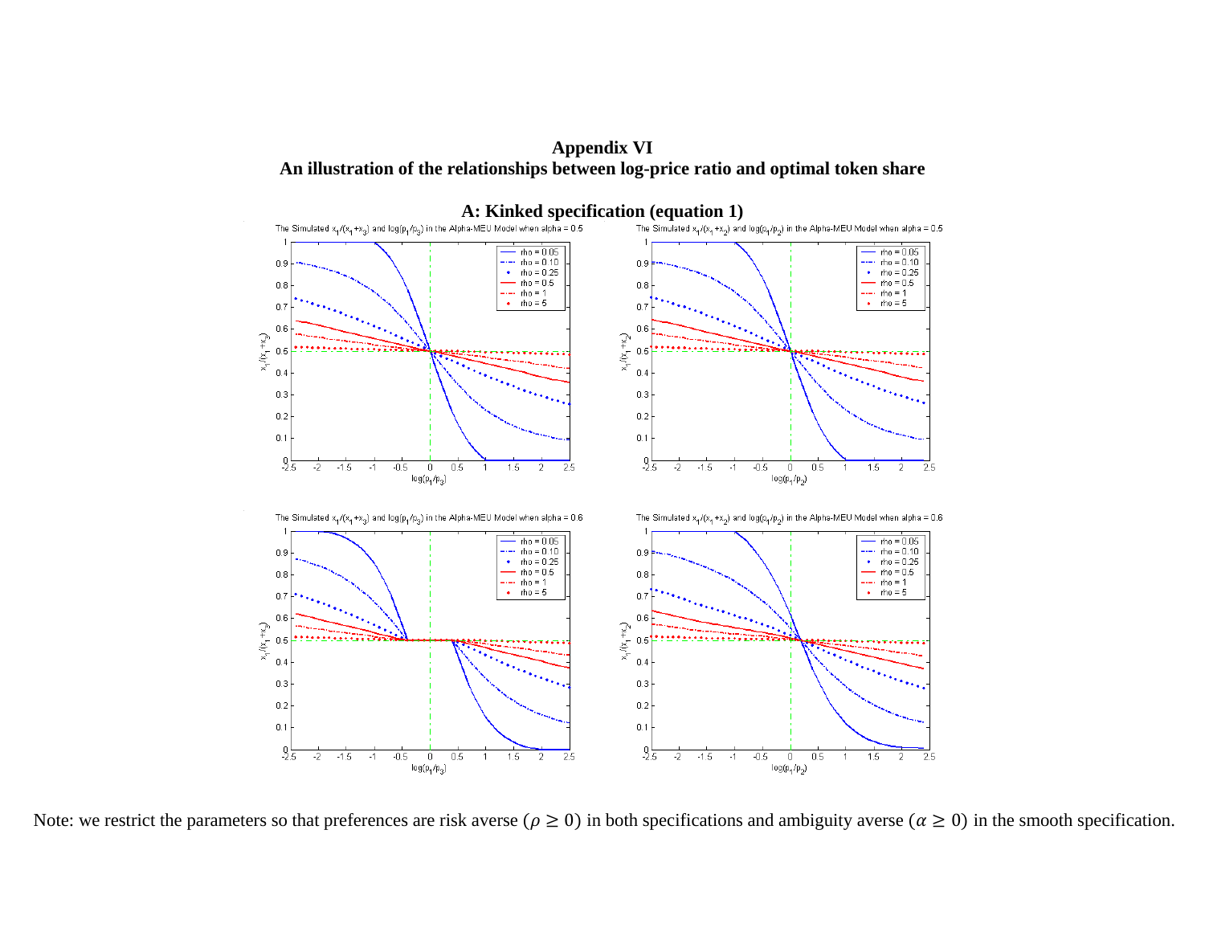**Appendix VI An illustration of the relationships between log-price ratio and optimal token share** 



Note: we restrict the parameters so that preferences are risk averse ( $\rho \ge 0$ ) in both specifications and ambiguity averse ( $\alpha \ge 0$ ) in the smooth specification.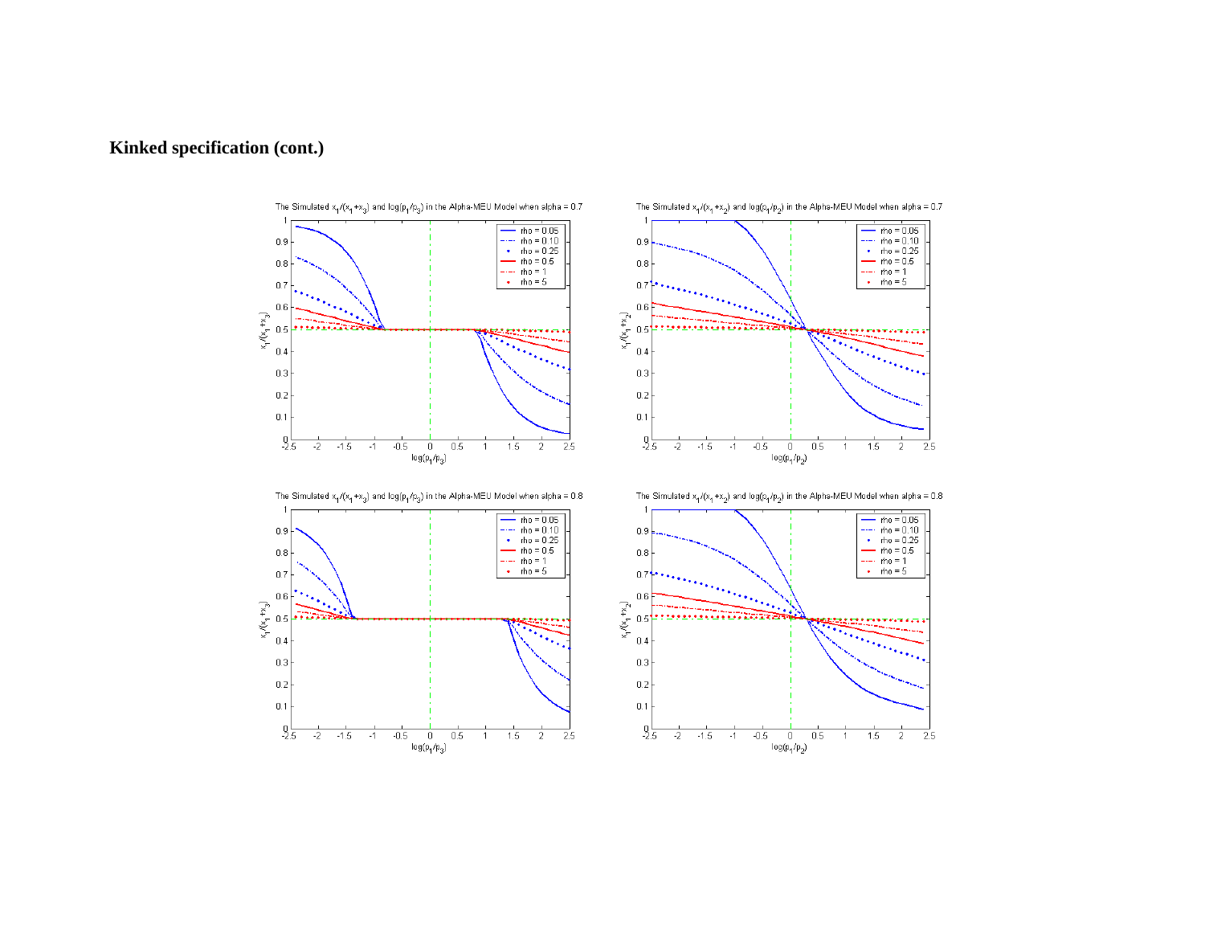# **Kinked specification (cont.)**





The Simulated  $x_1/(x_1+x_2)$  and  $log(p_1/p_2)$  in the Alpha-MEU Model when alpha = 0.7





The Simulated  $x_4/(x_4+x_5)$  and  $log(p_4/p_5)$  in the Alpha-MEU Model when alpha = 0.8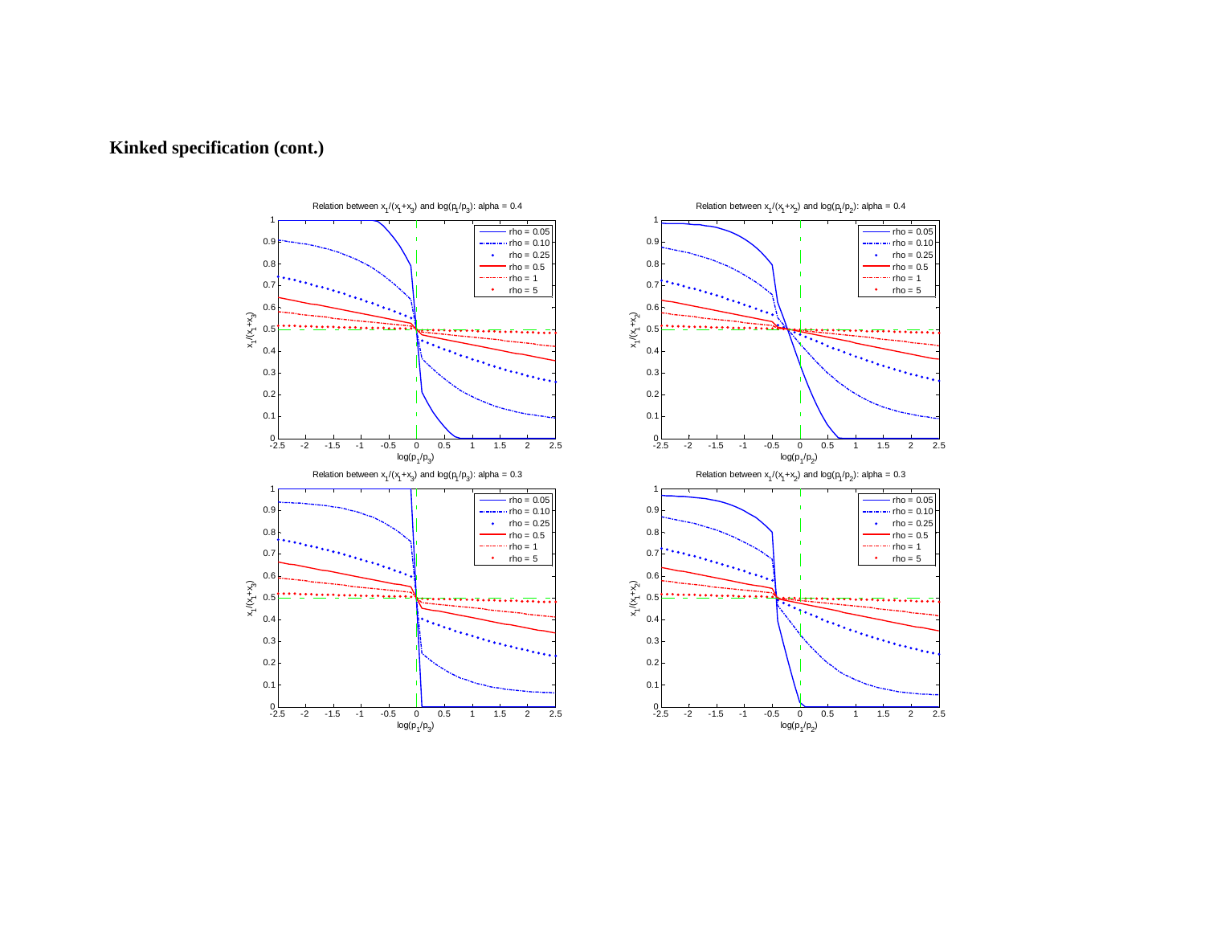# **Kinked specification (cont.)**





Relation between  $x_1/(x_1+x_2)$  and  $log(p_1/p_2)$ : alpha = 0.4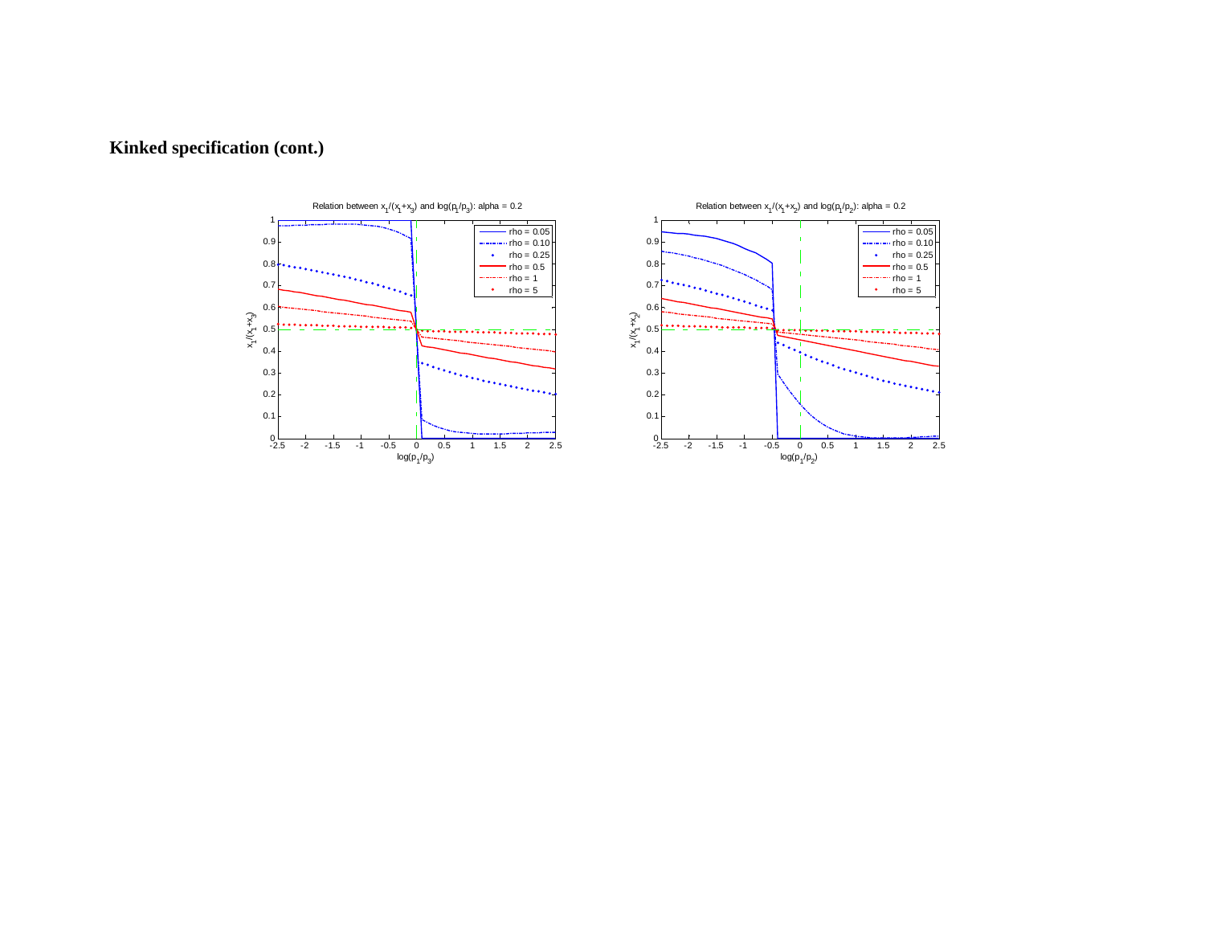# **Kinked specification (cont.)**





Relation between  $x_1/(x_1+x_2)$  and  $log(p_1/p_2)$ : alpha = 0.2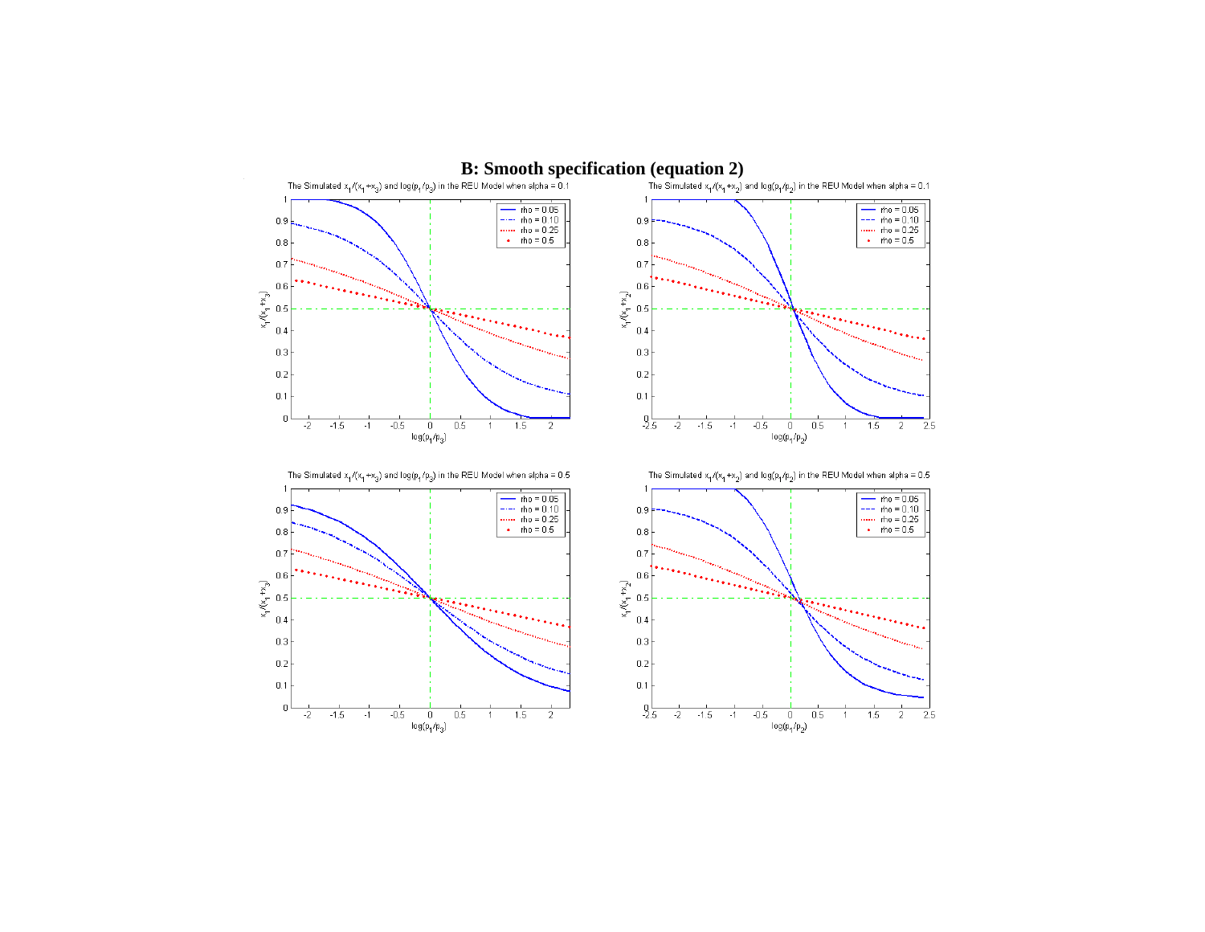

 $\begin{array}{r} \hline \text{the} = 0.05 \\ \text{--} = \text{the} = 0.10 \\ \text{...} = \text{the} = 0.25 \\ \text{...} = \text{the} = 0.5 \end{array}$  $0.9$  $0.8$  $0.7$  $0.6$  $x_1^2$   $x_2^2$   $x_3$   $x_4$   $x_5$   $x_6$   $x_7$  $0.3$  $0.2$  $0.1$  $^{0}_{-2.5}$  $-1.5$  $-1 - 0.5$  $\overline{\phantom{0}}$  $0.5$  $1.5$  $-2$  $\overline{1}$  $\overline{2}$ 2.5  $\log(\mathrm{p}_1/\mathrm{p}_2)$ 

The Simulated  $x_1/(x_1+x_3)$  and  $log(p_1/p_3)$  in the REU Model when alpha = 0.5





The Simulated  $x_1/(x_1+x_2)$  and  $log(p_1/p_2)$  in the REU Model when alpha = 0.5